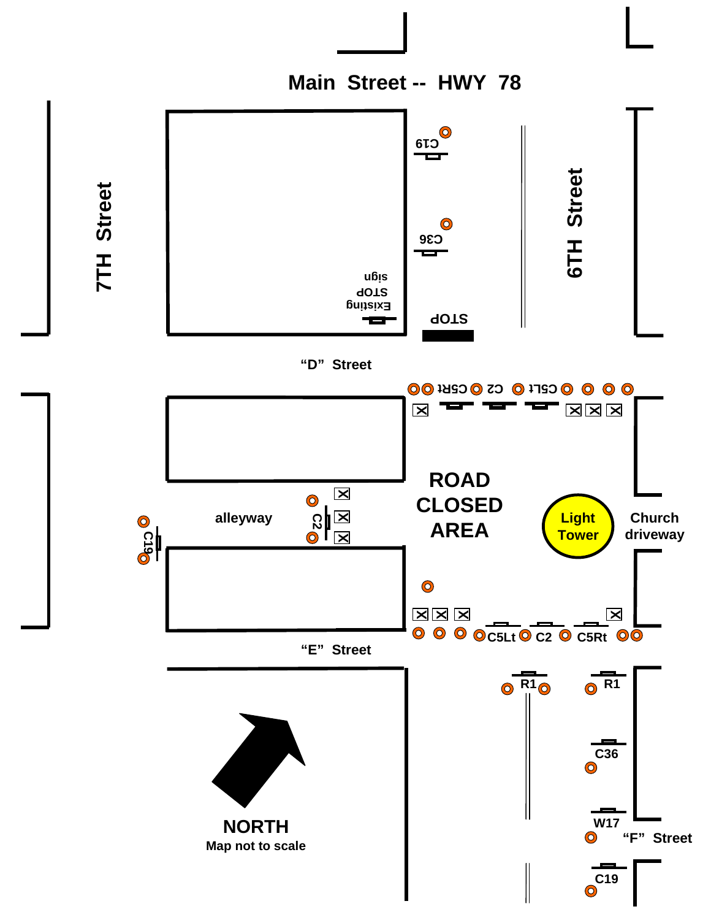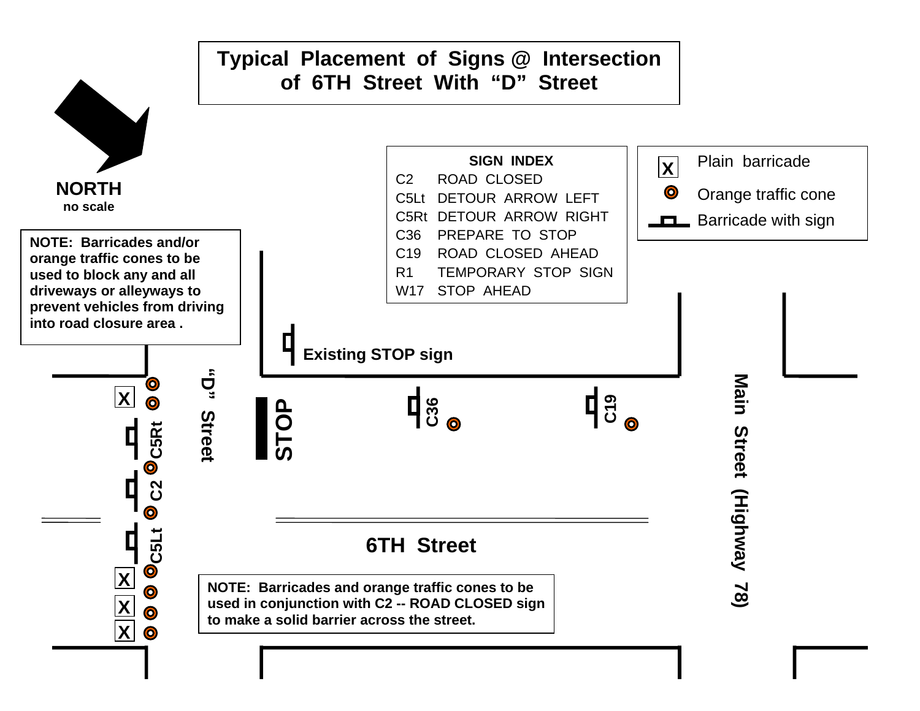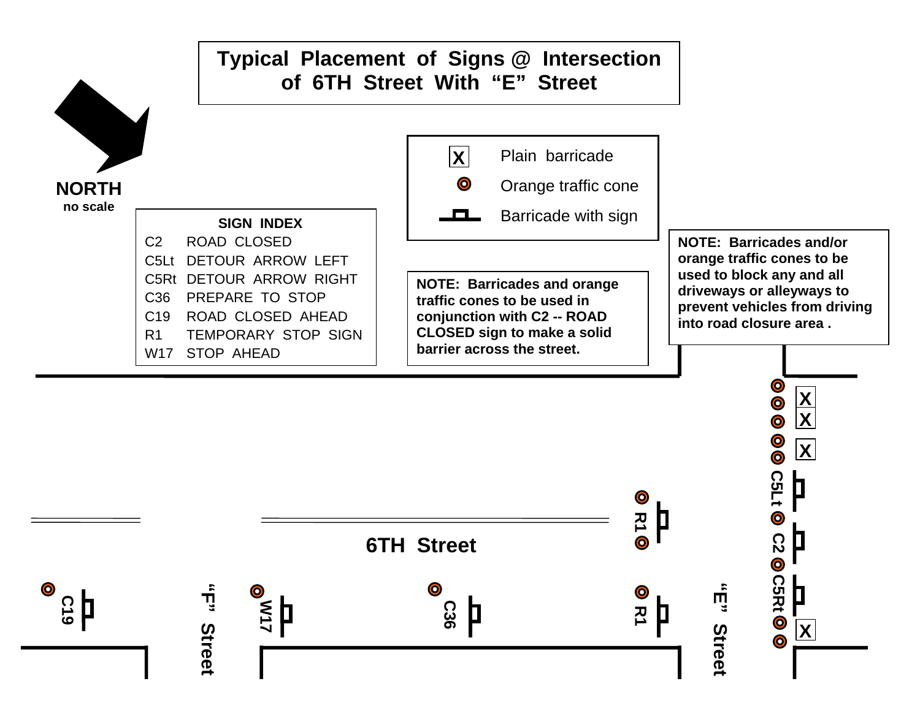